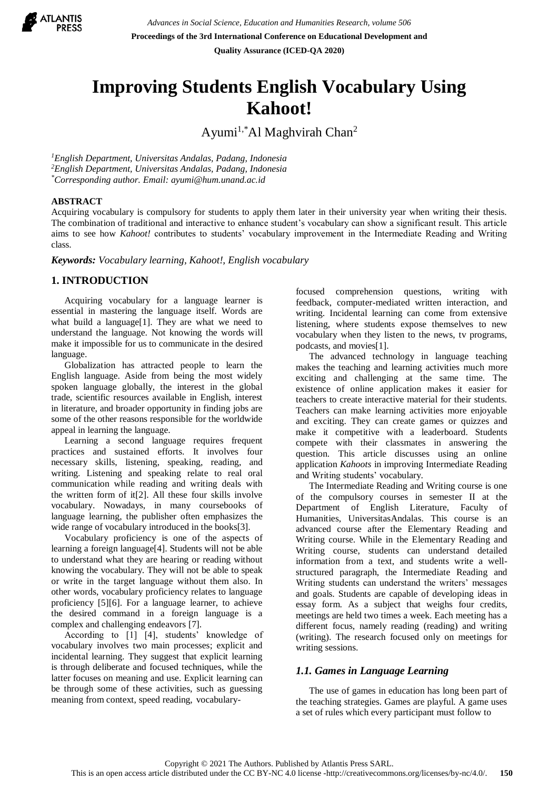

# **Improving Students English Vocabulary Using Kahoot!**

Ayumi<sup>1,\*</sup>Al Maghvirah Chan<sup>2</sup>

*<sup>1</sup>English Department, Universitas Andalas, Padang, Indonesia <sup>2</sup>English Department, Universitas Andalas, Padang, Indonesia \*Corresponding author. Email: [ayumi@hum.unand.ac.id](mailto:ayumi@hum.unand.ac.id)*

### **ABSTRACT**

Acquiring vocabulary is compulsory for students to apply them later in their university year when writing their thesis. The combination of traditional and interactive to enhance student's vocabulary can show a significant result. This article aims to see how *Kahoot!* contributes to students' vocabulary improvement in the Intermediate Reading and Writing class.

*Keywords: Vocabulary learning, Kahoot!, English vocabulary*

# **1. INTRODUCTION**

Acquiring vocabulary for a language learner is essential in mastering the language itself. Words are what build a language[1]. They are what we need to understand the language. Not knowing the words will make it impossible for us to communicate in the desired language.

Globalization has attracted people to learn the English language. Aside from being the most widely spoken language globally, the interest in the global trade, scientific resources available in English, interest in literature, and broader opportunity in finding jobs are some of the other reasons responsible for the worldwide appeal in learning the language.

Learning a second language requires frequent practices and sustained efforts. It involves four necessary skills, listening, speaking, reading, and writing. Listening and speaking relate to real oral communication while reading and writing deals with the written form of it[2]. All these four skills involve vocabulary. Nowadays, in many coursebooks of language learning, the publisher often emphasizes the wide range of vocabulary introduced in the books[3].

Vocabulary proficiency is one of the aspects of learning a foreign language[4]. Students will not be able to understand what they are hearing or reading without knowing the vocabulary. They will not be able to speak or write in the target language without them also. In other words, vocabulary proficiency relates to language proficiency [5][6]. For a language learner, to achieve the desired command in a foreign language is a complex and challenging endeavors [7].

According to [1] [4], students' knowledge of vocabulary involves two main processes; explicit and incidental learning. They suggest that explicit learning is through deliberate and focused techniques, while the latter focuses on meaning and use. Explicit learning can be through some of these activities, such as guessing meaning from context, speed reading, vocabularyfocused comprehension questions, writing with feedback, computer-mediated written interaction, and writing. Incidental learning can come from extensive listening, where students expose themselves to new vocabulary when they listen to the news, tv programs, podcasts, and movies[1].

The advanced technology in language teaching makes the teaching and learning activities much more exciting and challenging at the same time. The existence of online application makes it easier for teachers to create interactive material for their students. Teachers can make learning activities more enjoyable and exciting. They can create games or quizzes and make it competitive with a leaderboard. Students compete with their classmates in answering the question. This article discusses using an online application *Kahoots* in improving Intermediate Reading and Writing students' vocabulary.

The Intermediate Reading and Writing course is one of the compulsory courses in semester II at the Department of English Literature, Faculty of Humanities, UniversitasAndalas. This course is an advanced course after the Elementary Reading and Writing course. While in the Elementary Reading and Writing course, students can understand detailed information from a text, and students write a wellstructured paragraph, the Intermediate Reading and Writing students can understand the writers' messages and goals. Students are capable of developing ideas in essay form. As a subject that weighs four credits, meetings are held two times a week. Each meeting has a different focus, namely reading (reading) and writing (writing). The research focused only on meetings for writing sessions.

# *1.1. Games in Language Learning*

The use of games in education has long been part of the teaching strategies. Games are playful. A game uses a set of rules which every participant must follow to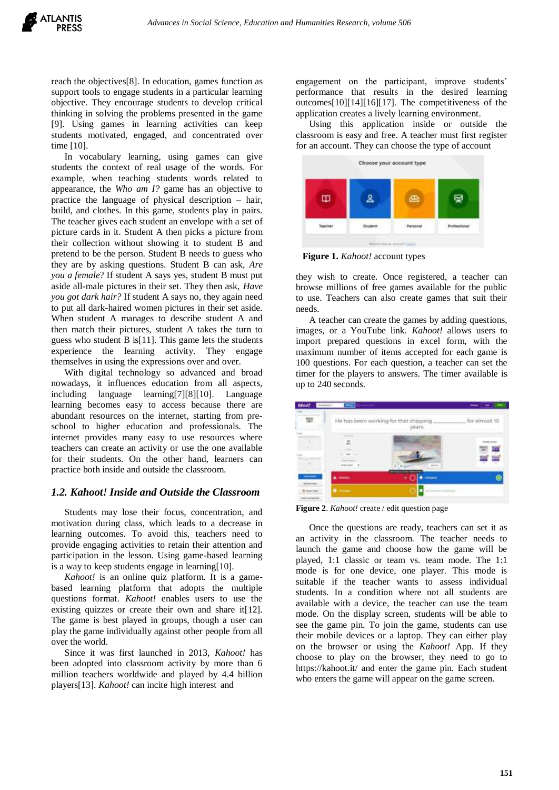reach the objectives[8]. In education, games function as support tools to engage students in a particular learning objective. They encourage students to develop critical thinking in solving the problems presented in the game [9]. Using games in learning activities can keep students motivated, engaged, and concentrated over time [10].

In vocabulary learning, using games can give students the context of real usage of the words. For example, when teaching students words related to appearance, the *Who am I?* game has an objective to practice the language of physical description – hair, build, and clothes. In this game, students play in pairs. The teacher gives each student an envelope with a set of picture cards in it. Student A then picks a picture from their collection without showing it to student B and pretend to be the person. Student B needs to guess who they are by asking questions. Student B can ask, *Are you a female*? If student A says yes, student B must put aside all-male pictures in their set. They then ask, *Have you got dark hair?* If student A says no, they again need to put all dark-haired women pictures in their set aside. When student A manages to describe student A and then match their pictures, student A takes the turn to guess who student B is[11]. This game lets the students experience the learning activity. They engage themselves in using the expressions over and over.

With digital technology so advanced and broad nowadays, it influences education from all aspects, including language learning[7][8][10]. Language learning becomes easy to access because there are abundant resources on the internet, starting from preschool to higher education and professionals. The internet provides many easy to use resources where teachers can create an activity or use the one available for their students. On the other hand, learners can practice both inside and outside the classroom.

# *1.2. Kahoot! Inside and Outside the Classroom*

Students may lose their focus, concentration, and motivation during class, which leads to a decrease in learning outcomes. To avoid this, teachers need to provide engaging activities to retain their attention and participation in the lesson. Using game-based learning is a way to keep students engage in learning[10].

*Kahoot!* is an online quiz platform. It is a gamebased learning platform that adopts the multiple questions format. *Kahoot!* enables users to use the existing quizzes or create their own and share it[12]. The game is best played in groups, though a user can play the game individually against other people from all over the world.

Since it was first launched in 2013, *Kahoot!* has been adopted into classroom activity by more than 6 million teachers worldwide and played by 4.4 billion players[13]. *Kahoot!* can incite high interest and

engagement on the participant, improve students' performance that results in the desired learning outcomes[10][14][16][17]. The competitiveness of the application creates a lively learning environment.

Using this application inside or outside the classroom is easy and free. A teacher must first register for an account. They can choose the type of account



**Figure 1.** *Kahoot!* account types

they wish to create. Once registered, a teacher can browse millions of free games available for the public to use. Teachers can also create games that suit their needs.

A teacher can create the games by adding questions, images, or a YouTube link. *Kahoot!* allows users to import prepared questions in excel form, with the maximum number of items accepted for each game is 100 questions. For each question, a teacher can set the timer for the players to answers. The timer available is up to 240 seconds.



**Figure 2**. *Kahoot!* create / edit question page

Once the questions are ready, teachers can set it as an activity in the classroom. The teacher needs to launch the game and choose how the game will be played, 1:1 classic or team vs. team mode. The 1:1 mode is for one device, one player. This mode is suitable if the teacher wants to assess individual students. In a condition where not all students are available with a device, the teacher can use the team mode. On the display screen, students will be able to see the game pin. To join the game, students can use their mobile devices or a laptop. They can either play on the browser or using the *Kahoot!* App. If they choose to play on the browser, they need to go to https://kahoot.it/ and enter the game pin. Each student who enters the game will appear on the game screen.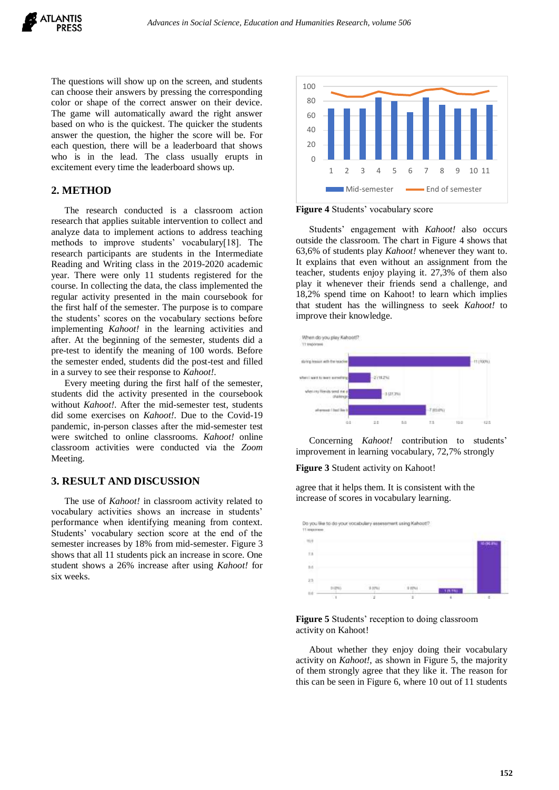The questions will show up on the screen, and students can choose their answers by pressing the corresponding color or shape of the correct answer on their device. The game will automatically award the right answer based on who is the quickest. The quicker the students answer the question, the higher the score will be. For each question, there will be a leaderboard that shows who is in the lead. The class usually erupts in excitement every time the leaderboard shows up.

# **2. METHOD**

The research conducted is a classroom action research that applies suitable intervention to collect and analyze data to implement actions to address teaching methods to improve students' vocabulary[18]. The research participants are students in the Intermediate Reading and Writing class in the 2019-2020 academic year. There were only 11 students registered for the course. In collecting the data, the class implemented the regular activity presented in the main coursebook for the first half of the semester. The purpose is to compare the students' scores on the vocabulary sections before implementing *Kahoot!* in the learning activities and after. At the beginning of the semester, students did a pre-test to identify the meaning of 100 words. Before the semester ended, students did the post-test and filled in a survey to see their response to *Kahoot!*.

Every meeting during the first half of the semester, students did the activity presented in the coursebook without *Kahoot!*. After the mid-semester test, students did some exercises on *Kahoot!*. Due to the Covid-19 pandemic, in-person classes after the mid-semester test were switched to online classrooms. *Kahoot!* online classroom activities were conducted via the *Zoom*  Meeting.

#### **3. RESULT AND DISCUSSION**

The use of *Kahoot!* in classroom activity related to vocabulary activities shows an increase in students' performance when identifying meaning from context. Students' vocabulary section score at the end of the semester increases by 18% from mid-semester. Figure 3 shows that all 11 students pick an increase in score. One student shows a 26% increase after using *Kahoot!* for six weeks.



**Figure 4** Students' vocabulary score

Students' engagement with *Kahoot!* also occurs outside the classroom. The chart in Figure 4 shows that 63,6% of students play *Kahoot!* whenever they want to. It explains that even without an assignment from the teacher, students enjoy playing it. 27,3% of them also play it whenever their friends send a challenge, and 18,2% spend time on Kahoot! to learn which implies that student has the willingness to seek *Kahoot!* to improve their knowledge.



Concerning *Kahoot!* contribution to students' improvement in learning vocabulary, 72,7% strongly

**Figure 3** Student activity on Kahoot!

agree that it helps them. It is consistent with the increase of scores in vocabulary learning.





About whether they enjoy doing their vocabulary activity on *Kahoot!*, as shown in Figure 5, the majority of them strongly agree that they like it. The reason for this can be seen in Figure 6, where 10 out of 11 students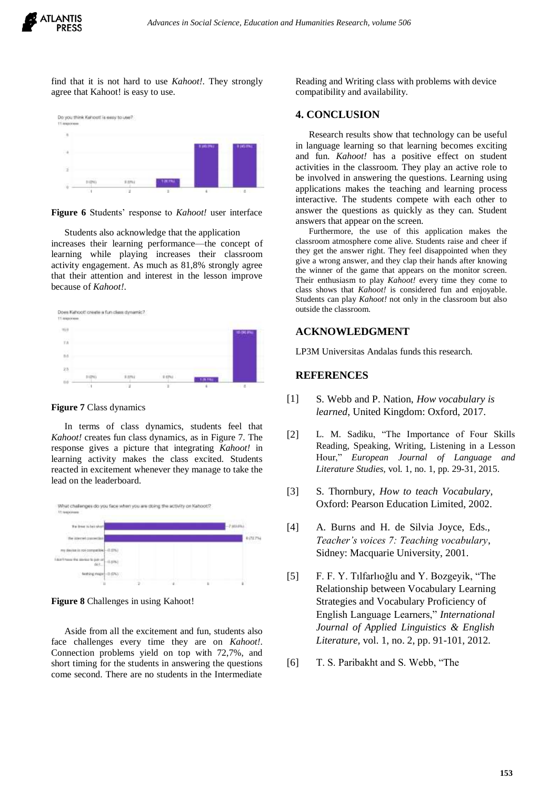

find that it is not hard to use *Kahoot!*. They strongly agree that Kahoot! is easy to use.



**Figure 6** Students' response to *Kahoot!* user interface

Students also acknowledge that the application increases their learning performance—the concept of learning while playing increases their classroom activity engagement. As much as 81,8% strongly agree that their attention and interest in the lesson improve because of *Kahoot!*.



**Figure 7** Class dynamics

In terms of class dynamics, students feel that *Kahoot!* creates fun class dynamics, as in Figure 7. The response gives a picture that integrating *Kahoot!* in learning activity makes the class excited. Students reacted in excitement whenever they manage to take the lead on the leaderboard.



**Figure 8** Challenges in using Kahoot!

Aside from all the excitement and fun, students also face challenges every time they are on *Kahoot!*. Connection problems yield on top with 72,7%, and short timing for the students in answering the questions come second. There are no students in the Intermediate

Reading and Writing class with problems with device compatibility and availability.

# **4. CONCLUSION**

Research results show that technology can be useful in language learning so that learning becomes exciting and fun. *Kahoot!* has a positive effect on student activities in the classroom. They play an active role to be involved in answering the questions. Learning using applications makes the teaching and learning process interactive. The students compete with each other to answer the questions as quickly as they can. Student answers that appear on the screen.

Furthermore, the use of this application makes the classroom atmosphere come alive. Students raise and cheer if they get the answer right. They feel disappointed when they give a wrong answer, and they clap their hands after knowing the winner of the game that appears on the monitor screen. Their enthusiasm to play *Kahoot!* every time they come to class shows that *Kahoot!* is considered fun and enjoyable. Students can play *Kahoot!* not only in the classroom but also outside the classroom.

# **ACKNOWLEDGMENT**

LP3M Universitas Andalas funds this research.

# **REFERENCES**

- [1] S. Webb and P. Nation, *How vocabulary is learned*, United Kingdom: Oxford, 2017.
- [2] L. M. Sadiku, "The Importance of Four Skills Reading, Speaking, Writing, Listening in a Lesson Hour," *European Journal of Language and Literature Studies,* vol. 1, no. 1, pp. 29-31, 2015.
- [3] S. Thornbury, *How to teach Vocabulary*, Oxford: Pearson Education Limited, 2002.
- [4] A. Burns and H. de Silvia Joyce, Eds., *Teacher's voices 7: Teaching vocabulary*, Sidney: Macquarie University, 2001.
- [5] F. F. Y. Tılfarlıoğlu and Y. Bozgeyik, "The Relationship between Vocabulary Learning Strategies and Vocabulary Proficiency of English Language Learners," *International Journal of Applied Linguistics & English Literature,* vol. 1, no. 2, pp. 91-101, 2012.
- [6] T. S. Paribakht and S. Webb, "The